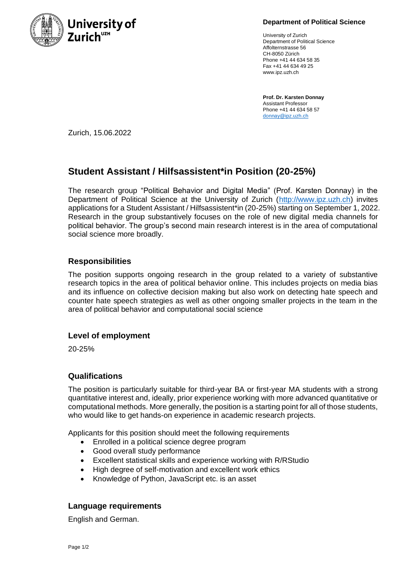

**Department of Political Science**

University of Zurich Department of Political Science Affolternstrasse 56 CH-8050 Zürich Phone +41 44 634 58 35 Fax +41 44 634 49 25 www.ipz.uzh.ch

**Prof. Dr. Karsten Donnay** Assistant Professor Phone +41 44 634 58 57 [donnay@ipz.uzh.ch](mailto:donnay@ipz.uzh.ch)

Zurich, 15.06.2022

# **Student Assistant / Hilfsassistent\*in Position (20-25%)**

The research group "Political Behavior and Digital Media" (Prof. Karsten Donnay) in the Department of Political Science at the University of Zurich [\(http://www.ipz.uzh.ch\)](http://www.ipz.uzh.ch/) invites applications for a Student Assistant / Hilfsassistent\*in (20-25%) starting on September 1, 2022. Research in the group substantively focuses on the role of new digital media channels for political behavior. The group's second main research interest is in the area of computational social science more broadly.

# **Responsibilities**

The position supports ongoing research in the group related to a variety of substantive research topics in the area of political behavior online. This includes projects on media bias and its influence on collective decision making but also work on detecting hate speech and counter hate speech strategies as well as other ongoing smaller projects in the team in the area of political behavior and computational social science

#### **Level of employment**

20-25%

### **Qualifications**

The position is particularly suitable for third-year BA or first-year MA students with a strong quantitative interest and, ideally, prior experience working with more advanced quantitative or computational methods. More generally, the position is a starting point for all of those students, who would like to get hands-on experience in academic research projects.

Applicants for this position should meet the following requirements

- Enrolled in a political science degree program
- Good overall study performance
- Excellent statistical skills and experience working with R/RStudio
- High degree of self-motivation and excellent work ethics
- Knowledge of Python, JavaScript etc. is an asset

#### **Language requirements**

English and German.